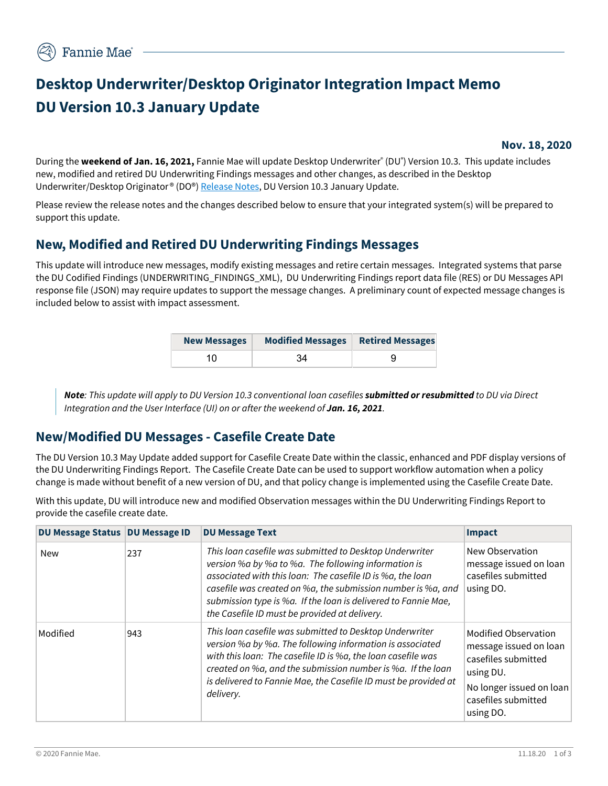# **Desktop Underwriter/Desktop Originator Integration Impact Memo DU Version 10.3 January Update**

### **Nov. 18, 2020**

During the **weekend of Jan. 16, 2021,** Fannie Mae will update Desktop Underwriter® (DU® ) Version 10.3. This update includes new, modified and retired DU Underwriting Findings messages and other changes, as described in the Desktop Underwriter/Desktop Originator ® (DO®[\) Release Notes,](https://singlefamily.fanniemae.com/media/document/pdf/du-v-103-release-january-16-2021) DU Version 10.3 January Update.

Please review the release notes and the changes described below to ensure that your integrated system(s) will be prepared to support this update.

## **New, Modified and Retired DU Underwriting Findings Messages**

This update will introduce new messages, modify existing messages and retire certain messages. Integrated systems that parse the DU Codified Findings (UNDERWRITING\_FINDINGS\_XML), DU Underwriting Findings report data file (RES) or DU Messages API response file (JSON) may require updates to support the message changes. A preliminary count of expected message changes is included below to assist with impact assessment.

| <b>New Messages</b> | Modified Messages   Retired Messages |  |
|---------------------|--------------------------------------|--|
|                     |                                      |  |

*Note: This update will apply to DU Version 10.3 conventional loan casefiles submitted or resubmitted to DU via Direct Integration and the User Interface (UI) on or after the weekend of Jan. 16, 2021.* 

# **New/Modified DU Messages - Casefile Create Date**

The DU Version 10.3 May Update added support for Casefile Create Date within the classic, enhanced and PDF display versions of the DU Underwriting Findings Report. The Casefile Create Date can be used to support workflow automation when a policy change is made without benefit of a new version of DU, and that policy change is implemented using the Casefile Create Date.

With this update, DU will introduce new and modified Observation messages within the DU Underwriting Findings Report to provide the casefile create date.

| DU Message Status   DU Message ID |     | <b>DU Message Text</b>                                                                                                                                                                                                                                                                                                                                           | <b>Impact</b>                                                                                                                                      |
|-----------------------------------|-----|------------------------------------------------------------------------------------------------------------------------------------------------------------------------------------------------------------------------------------------------------------------------------------------------------------------------------------------------------------------|----------------------------------------------------------------------------------------------------------------------------------------------------|
| <b>New</b>                        | 237 | This loan casefile was submitted to Desktop Underwriter<br>version %a by %a to %a. The following information is<br>associated with this loan: The casefile ID is %a, the loan<br>casefile was created on %a, the submission number is %a, and<br>submission type is %a. If the loan is delivered to Fannie Mae,<br>the Casefile ID must be provided at delivery. | New Observation<br>message issued on loan<br>casefiles submitted<br>using DO.                                                                      |
| Modified                          | 943 | This loan casefile was submitted to Desktop Underwriter<br>version %a by %a. The following information is associated<br>with this loan: The casefile ID is %a, the loan casefile was<br>created on %a, and the submission number is %a. If the loan<br>is delivered to Fannie Mae, the Casefile ID must be provided at<br>delivery.                              | Modified Observation<br>message issued on loan<br>casefiles submitted<br>using DU.<br>No longer issued on loan<br>casefiles submitted<br>using DO. |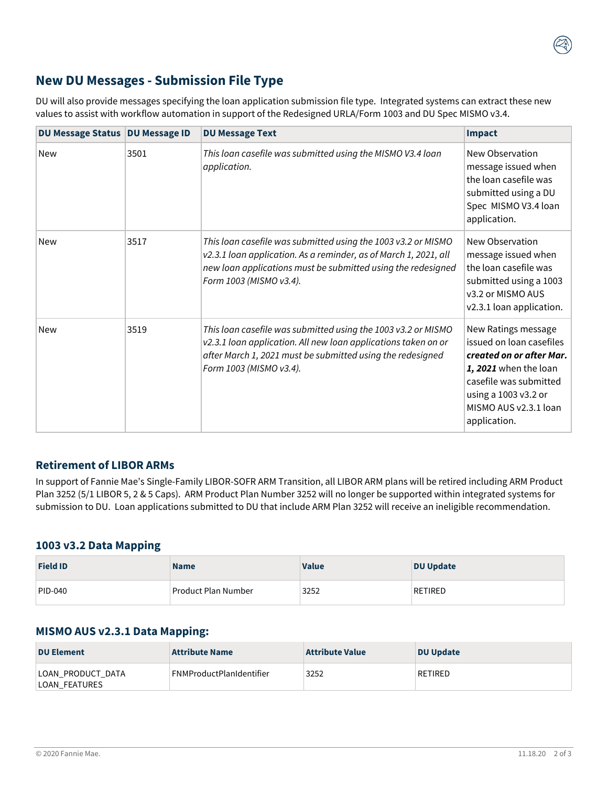# **New DU Messages - Submission File Type**

DU will also provide messages specifying the loan application submission file type. Integrated systems can extract these new values to assist with workflow automation in support of the Redesigned URLA/Form 1003 and DU Spec MISMO v3.4.

| DU Message Status   DU Message ID |      | <b>DU Message Text</b>                                                                                                                                                                                                       | <b>Impact</b>                                                                                                                                                                                   |
|-----------------------------------|------|------------------------------------------------------------------------------------------------------------------------------------------------------------------------------------------------------------------------------|-------------------------------------------------------------------------------------------------------------------------------------------------------------------------------------------------|
| <b>New</b>                        | 3501 | This loan casefile was submitted using the MISMO V3.4 loan<br>application.                                                                                                                                                   | New Observation<br>message issued when<br>the loan casefile was<br>submitted using a DU<br>Spec MISMO V3.4 loan<br>application.                                                                 |
| <b>New</b>                        | 3517 | This loan casefile was submitted using the 1003 v3.2 or MISMO<br>v2.3.1 loan application. As a reminder, as of March 1, 2021, all<br>new loan applications must be submitted using the redesigned<br>Form 1003 (MISMO v3.4). | New Observation<br>message issued when<br>the loan casefile was<br>submitted using a 1003<br>v3.2 or MISMO AUS<br>v2.3.1 loan application.                                                      |
| <b>New</b>                        | 3519 | This loan casefile was submitted using the 1003 v3.2 or MISMO<br>v2.3.1 loan application. All new loan applications taken on or<br>after March 1, 2021 must be submitted using the redesigned<br>Form 1003 (MISMO v3.4).     | New Ratings message<br>issued on loan casefiles<br>created on or after Mar.<br>1, 2021 when the loan<br>casefile was submitted<br>using a 1003 v3.2 or<br>MISMO AUS v2.3.1 loan<br>application. |

### **Retirement of LIBOR ARMs**

In support of Fannie Mae's Single-Family LIBOR-SOFR ARM Transition, all LIBOR ARM plans will be retired including ARM Product Plan 3252 (5/1 LIBOR 5, 2 & 5 Caps). ARM Product Plan Number 3252 will no longer be supported within integrated systems for submission to DU. Loan applications submitted to DU that include ARM Plan 3252 will receive an ineligible recommendation.

#### **1003 v3.2 Data Mapping**

| <b>Field ID</b> | <b>Name</b>         | <b>Value</b> | <b>DU Update</b> |
|-----------------|---------------------|--------------|------------------|
| $ PID-040 $     | Product Plan Number | 3252         | RETIRED          |

### **MISMO AUS v2.3.1 Data Mapping:**

| <b>DU Element</b>                  | <b>Attribute Name</b>           | <b>Attribute Value</b> | DU Update |
|------------------------------------|---------------------------------|------------------------|-----------|
| LOAN_PRODUCT_DATA<br>LOAN FEATURES | <b>FNMProductPlanIdentifier</b> | 3252                   | RETIRED   |